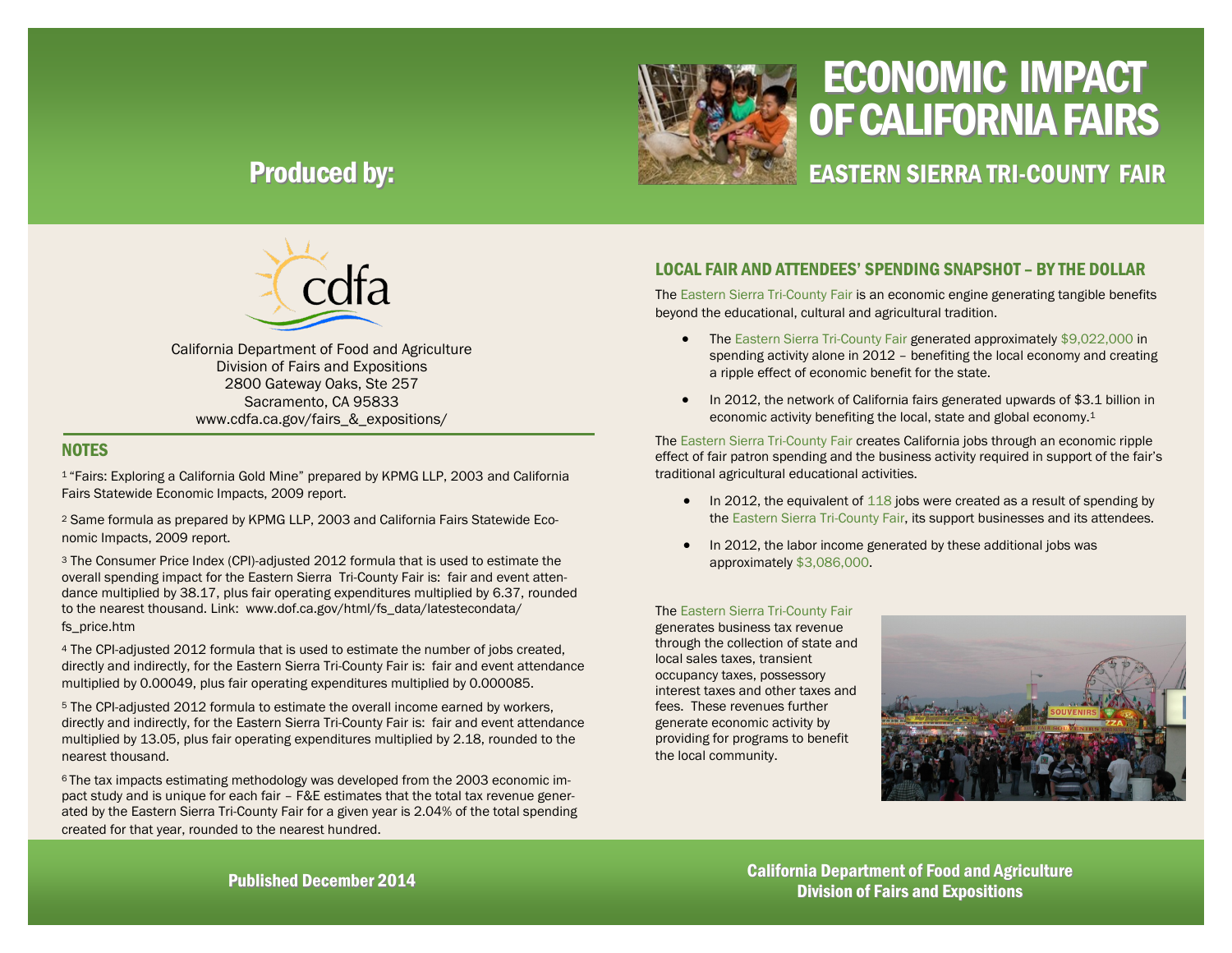

# ECONOMIC IMPACT OF CALIFORNIA FAIRS

EASTERN SIERRA TRI-COUNTY FAIR

## Produced by:



California Department of Food and Agriculture Division of Fairs and Expositions 2800 Gateway Oaks, Ste 257 Sacramento, CA 95833 www.cdfa.ca.gov/fairs\_&\_expositions/

#### **NOTES**

<sup>1</sup>"Fairs: Exploring a California Gold Mine" prepared by KPMG LLP, 2003 and California Fairs Statewide Economic Impacts, 2009 report.

<sup>2</sup> Same formula as prepared by KPMG LLP, 2003 and California Fairs Statewide Economic Impacts, 2009 report.

<sup>3</sup> The Consumer Price Index (CPI)-adjusted 2012 formula that is used to estimate the overall spending impact for the Eastern Sierra Tri-County Fair is: fair and event attendance multiplied by 38.17, plus fair operating expenditures multiplied by 6.37, rounded to the nearest thousand. Link: www.dof.ca.gov/html/fs\_data/latestecondata/ fs\_price.htm

<sup>4</sup> The CPI-adjusted 2012 formula that is used to estimate the number of jobs created, directly and indirectly, for the Eastern Sierra Tri-County Fair is: fair and event attendance multiplied by 0.00049, plus fair operating expenditures multiplied by 0.000085.

<sup>5</sup> The CPI-adjusted 2012 formula to estimate the overall income earned by workers, directly and indirectly, for the Eastern Sierra Tri-County Fair is: fair and event attendance multiplied by 13.05, plus fair operating expenditures multiplied by 2.18, rounded to the nearest thousand.

6 The tax impacts estimating methodology was developed from the 2003 economic impact study and is unique for each fair – F&E estimates that the total tax revenue generated by the Eastern Sierra Tri-County Fair for a given year is 2.04% of the total spending created for that year, rounded to the nearest hundred.

### LOCAL FAIR AND ATTENDEES' SPENDING SNAPSHOT – BY THE DOLLAR

The Eastern Sierra Tri-County Fair is an economic engine generating tangible benefits beyond the educational, cultural and agricultural tradition.

- The Eastern Sierra Tri-County Fair generated approximately \$9,022,000 in spending activity alone in 2012 – benefiting the local economy and creating a ripple effect of economic benefit for the state.
- In 2012, the network of California fairs generated upwards of \$3.1 billion in economic activity benefiting the local, state and global economy.<sup>1</sup>

The Eastern Sierra Tri-County Fair creates California jobs through an economic ripple effect of fair patron spending and the business activity required in support of the fair's traditional agricultural educational activities.

- $\bullet$  In 2012, the equivalent of 118 jobs were created as a result of spending by the Eastern Sierra Tri-County Fair, its support businesses and its attendees.
- In 2012, the labor income generated by these additional jobs was approximately \$3,086,000.

#### The Eastern Sierra Tri-County Fair

generates business tax revenue through the collection of state and local sales taxes, transient occupancy taxes, possessory interest taxes and other taxes and fees. These revenues further generate economic activity by providing for programs to benefit the local community.



California Department of Food and Agriculture Published December 2014<br>Division of Fairs and Expositions